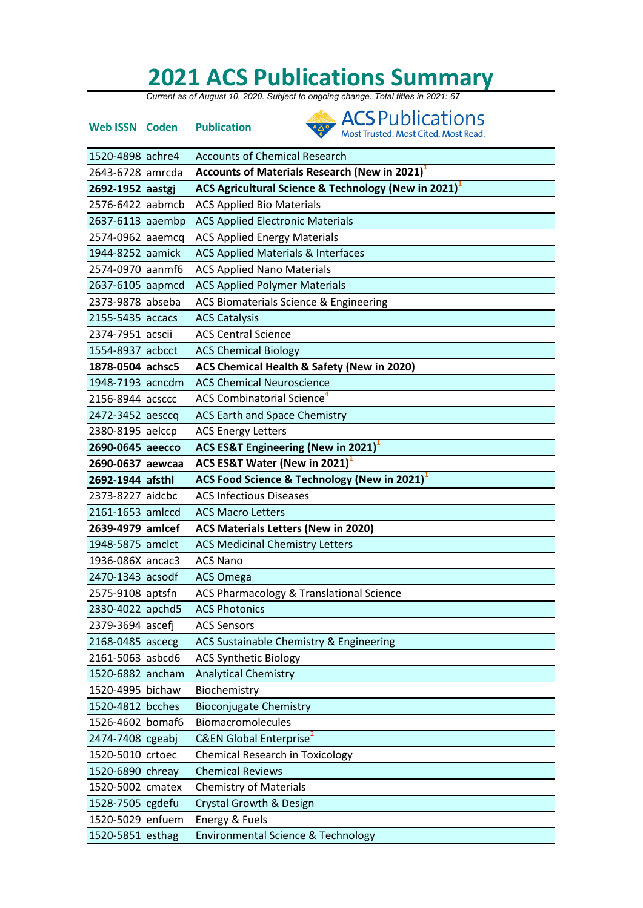## **2021 ACS Publications Summary**<br>Current as of August 10, 2020. Subject to ongoing change. Total titles in 2021: 67

| <b>Web ISSN Coden</b> | <b>ACS</b> Publications<br><b>Publication</b><br>Most Trusted. Most Cited. Most Read. |
|-----------------------|---------------------------------------------------------------------------------------|
| 1520-4898 achre4      | <b>Accounts of Chemical Research</b>                                                  |
| 2643-6728 amrcda      | Accounts of Materials Research (New in 2021) <sup>1</sup>                             |
| 2692-1952 aastgj      | ACS Agricultural Science & Technology (New in 2021) <sup>1</sup>                      |
| 2576-6422 aabmcb      | <b>ACS Applied Bio Materials</b>                                                      |
| 2637-6113 aaembp      | <b>ACS Applied Electronic Materials</b>                                               |
| 2574-0962 aaemcq      | <b>ACS Applied Energy Materials</b>                                                   |
| 1944-8252 aamick      | <b>ACS Applied Materials &amp; Interfaces</b>                                         |
| 2574-0970 aanmf6      | <b>ACS Applied Nano Materials</b>                                                     |
| 2637-6105 aapmcd      | <b>ACS Applied Polymer Materials</b>                                                  |
| 2373-9878 abseba      | ACS Biomaterials Science & Engineering                                                |
| 2155-5435 accacs      | <b>ACS Catalysis</b>                                                                  |
| 2374-7951 acscii      | <b>ACS Central Science</b>                                                            |
| 1554-8937 acbcct      | <b>ACS Chemical Biology</b>                                                           |
| 1878-0504 achsc5      | ACS Chemical Health & Safety (New in 2020)                                            |
| 1948-7193 acncdm      | <b>ACS Chemical Neuroscience</b>                                                      |
| 2156-8944 acsccc      | <b>ACS Combinatorial Science</b> <sup>4</sup>                                         |
| 2472-3452 aesccq      | ACS Earth and Space Chemistry                                                         |
| 2380-8195 aelccp      | <b>ACS Energy Letters</b>                                                             |
| 2690-0645 aeecco      | ACS ES&T Engineering (New in 2021) <sup>1</sup>                                       |
| 2690-0637 aewcaa      | ACS ES&T Water (New in 2021)                                                          |
| 2692-1944 afsthl      | ACS Food Science & Technology (New in 2021) <sup>1</sup>                              |
| 2373-8227 aidcbc      | <b>ACS Infectious Diseases</b>                                                        |
| 2161-1653 amlccd      | <b>ACS Macro Letters</b>                                                              |
| 2639-4979 amlcef      | ACS Materials Letters (New in 2020)                                                   |
| 1948-5875 amclct      | <b>ACS Medicinal Chemistry Letters</b>                                                |
| 1936-086X ancac3      | <b>ACS Nano</b>                                                                       |
| 2470-1343 acsodf      |                                                                                       |
| 2575-9108 aptsfn      | ACS Omega                                                                             |
|                       | ACS Pharmacology & Translational Science                                              |
| 2330-4022 apchd5      | <b>ACS Photonics</b>                                                                  |
| 2379-3694 ascefi      | <b>ACS Sensors</b>                                                                    |
| 2168-0485 ascecg      | ACS Sustainable Chemistry & Engineering                                               |
| 2161-5063 asbcd6      | <b>ACS Synthetic Biology</b>                                                          |
| 1520-6882 ancham      | <b>Analytical Chemistry</b>                                                           |
| 1520-4995 bichaw      | Biochemistry                                                                          |
| 1520-4812 bcches      | <b>Bioconjugate Chemistry</b>                                                         |
| 1526-4602 bomaf6      | <b>Biomacromolecules</b>                                                              |
| 2474-7408 cgeabj      | C&EN Global Enterprise <sup>2</sup>                                                   |
| 1520-5010 crtoec      | <b>Chemical Research in Toxicology</b>                                                |
| 1520-6890 chreay      | <b>Chemical Reviews</b>                                                               |
| 1520-5002 cmatex      | <b>Chemistry of Materials</b>                                                         |
| 1528-7505 cgdefu      | <b>Crystal Growth &amp; Design</b>                                                    |
| 1520-5029 enfuem      | Energy & Fuels                                                                        |